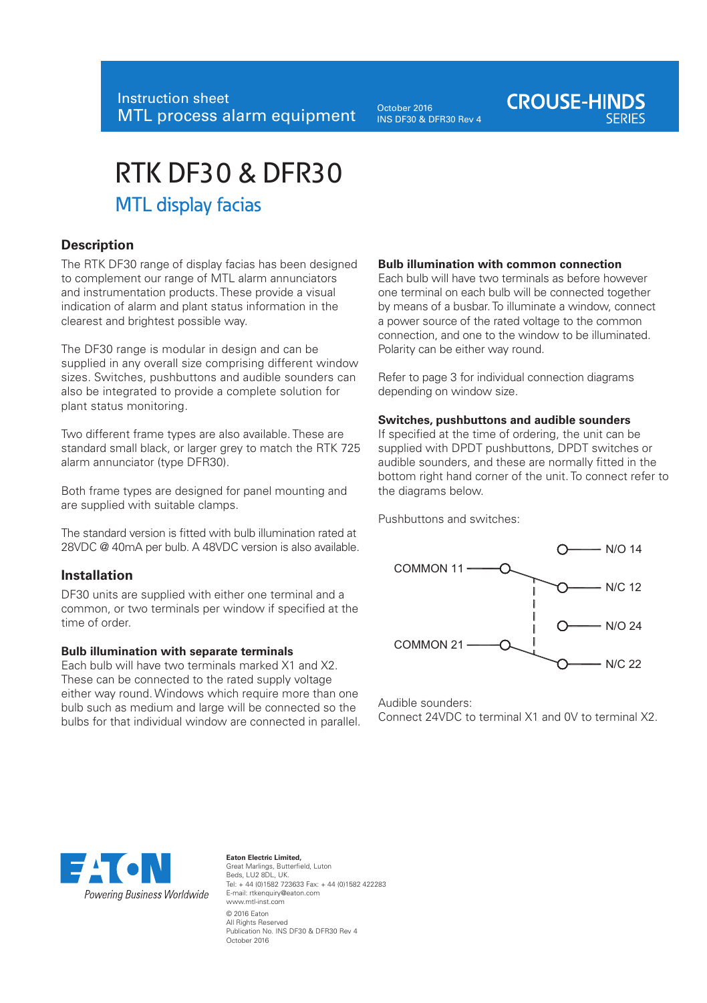October 2016 INS DF30 & DFR30 Rev 4

# **CROUSE-HINDS**

## RTK DF30 & DFR30

### MTL display facias

#### **Description**

The RTK DF30 range of display facias has been designed to complement our range of MTL alarm annunciators and instrumentation products. These provide a visual indication of alarm and plant status information in the clearest and brightest possible way.

The DF30 range is modular in design and can be supplied in any overall size comprising different window sizes. Switches, pushbuttons and audible sounders can also be integrated to provide a complete solution for plant status monitoring.

Two different frame types are also available. These are standard small black, or larger grey to match the RTK 725 alarm annunciator (type DFR30).

Both frame types are designed for panel mounting and are supplied with suitable clamps.

The standard version is fitted with bulb illumination rated at 28VDC @ 40mA per bulb. A 48VDC version is also available.

#### **Installation**

DF30 units are supplied with either one terminal and a common, or two terminals per window if specified at the time of order.

#### **Bulb illumination with separate terminals**

Each bulb will have two terminals marked X1 and X2. These can be connected to the rated supply voltage either way round. Windows which require more than one bulb such as medium and large will be connected so the bulbs for that individual window are connected in parallel.

#### **Bulb illumination with common connection**

Each bulb will have two terminals as before however one terminal on each bulb will be connected together by means of a busbar. To illuminate a window, connect a power source of the rated voltage to the common connection, and one to the window to be illuminated. Polarity can be either way round.

Refer to page 3 for individual connection diagrams depending on window size.

#### **Switches, pushbuttons and audible sounders**

If specified at the time of ordering, the unit can be supplied with DPDT pushbuttons, DPDT switches or audible sounders, and these are normally fitted in the bottom right hand corner of the unit. To connect refer to the diagrams below.

Pushbuttons and switches:



Audible sounders: Connect 24VDC to terminal X1 and 0V to terminal X2.



#### **Eaton Electric Limited,**  Great Marlings, Butterfield, Luton

Beds, LU2 8DL, UK. Tel: + 44 (0)1582 723633 Fax: + 44 (0)1582 422283 E-mail: rtkenquiry@eaton.com www.mtl-inst.com © 2016 Eaton All Rights Reserved Publication No. INS DF30 & DFR30 Rev 4 October 2016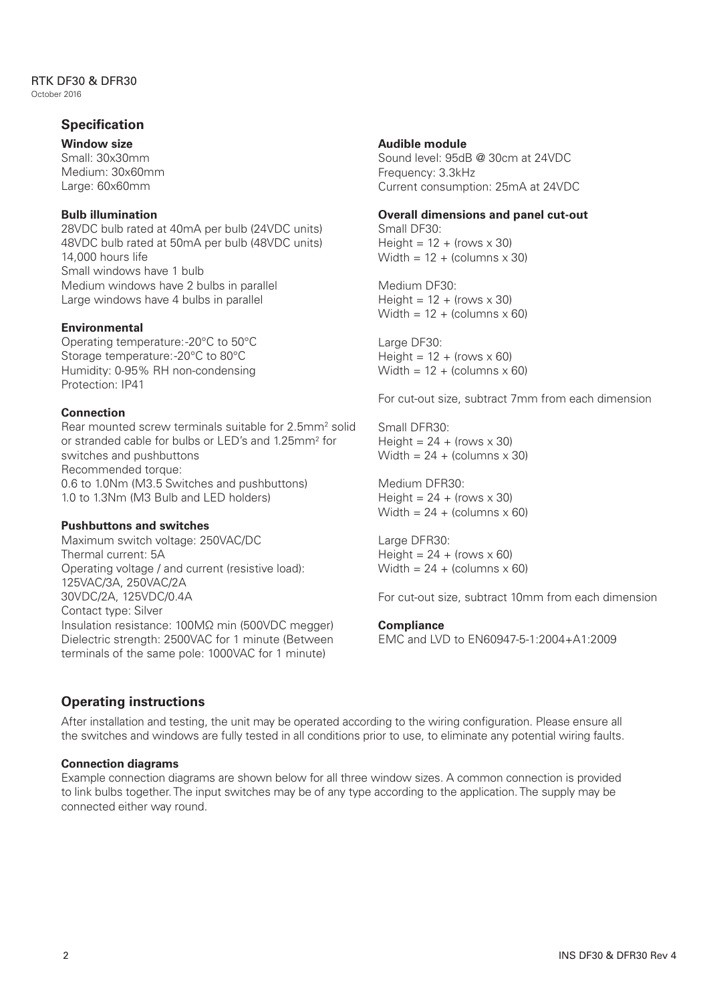#### RTK DF30 & DFR30 October 2016

### **Specification**

**Window size** Small: 30x30mm Medium: 30x60mm Large: 60x60mm

#### **Bulb illumination**

28VDC bulb rated at 40mA per bulb (24VDC units) 48VDC bulb rated at 50mA per bulb (48VDC units) 14,000 hours life Small windows have 1 bulb Medium windows have 2 bulbs in parallel Large windows have 4 bulbs in parallel

#### **Environmental**

Operating temperature: -20°C to 50°C Storage temperature: -20°C to 80°C Humidity: 0-95% RH non-condensing Protection: IP41

#### **Connection**

Rear mounted screw terminals suitable for 2.5mm<sup>2</sup> solid or stranded cable for bulbs or LED's and 1.25mm2 for switches and pushbuttons Recommended torque: 0.6 to 1.0Nm (M3.5 Switches and pushbuttons) 1.0 to 1.3Nm (M3 Bulb and LED holders)

#### **Pushbuttons and switches**

Maximum switch voltage: 250VAC/DC Thermal current: 5A Operating voltage / and current (resistive load): 125VAC/3A, 250VAC/2A 30VDC/2A, 125VDC/0.4A Contact type: Silver Insulation resistance: 100MΩ min (500VDC megger) Dielectric strength: 2500VAC for 1 minute (Between terminals of the same pole: 1000VAC for 1 minute)

#### **Audible module**

Sound level: 95dB @ 30cm at 24VDC Frequency: 3.3kHz Current consumption: 25mA at 24VDC

#### **Overall dimensions and panel cut-out**

Small DF30: Height =  $12 +$  (rows  $\times$  30) Width =  $12 + (columns \times 30)$ 

Medium DF30: Height =  $12 +$  (rows  $\times$  30) Width =  $12 + (columns \times 60)$ 

Large DF30: Height =  $12 +$  (rows  $\times$  60) Width =  $12 + (columns \times 60)$ 

For cut-out size, subtract 7mm from each dimension

Small DFR30: Height =  $24 +$  (rows  $\times$  30) Width =  $24 + (columns \times 30)$ 

Medium DFR30: Height =  $24 +$  (rows  $\times$  30) Width =  $24 + (columns \times 60)$ 

Large DFR30: Height =  $24 + (rows \times 60)$ Width =  $24 + (columns \times 60)$ 

For cut-out size, subtract 10mm from each dimension

#### **Compliance**

EMC and LVD to EN60947-5-1:2004+A1:2009

#### **Operating instructions**

After installation and testing, the unit may be operated according to the wiring configuration. Please ensure all the switches and windows are fully tested in all conditions prior to use, to eliminate any potential wiring faults.

#### **Connection diagrams**

Example connection diagrams are shown below for all three window sizes. A common connection is provided to link bulbs together. The input switches may be of any type according to the application. The supply may be connected either way round.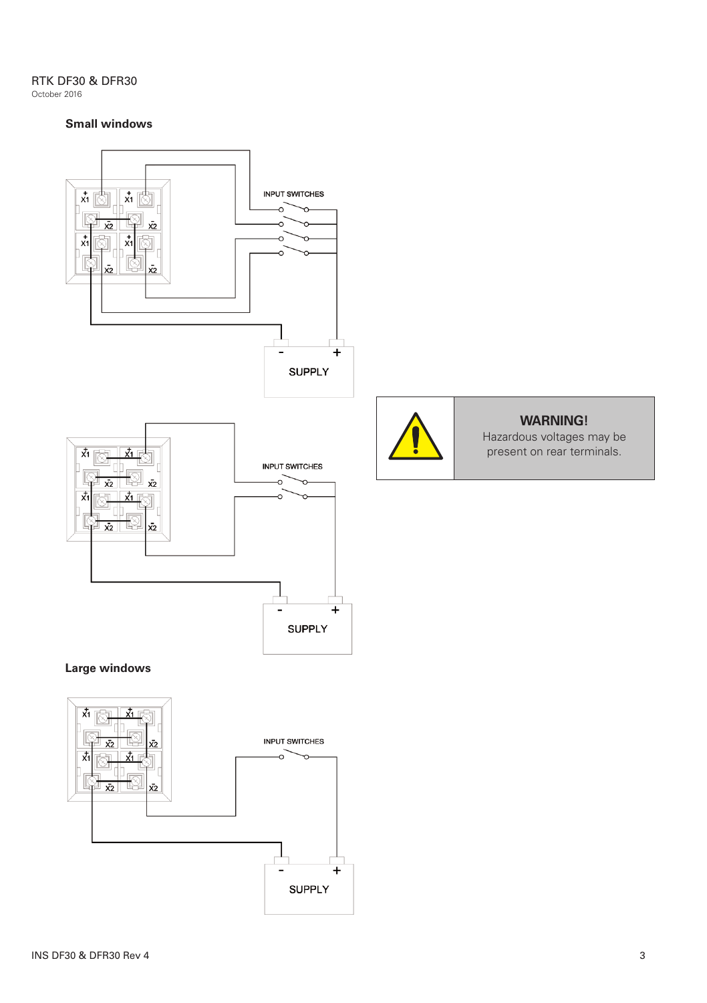RTK DF30 & DFR30 October 2016

#### **Small windows**



 $\overline{+}$ 

**SUPPLY**